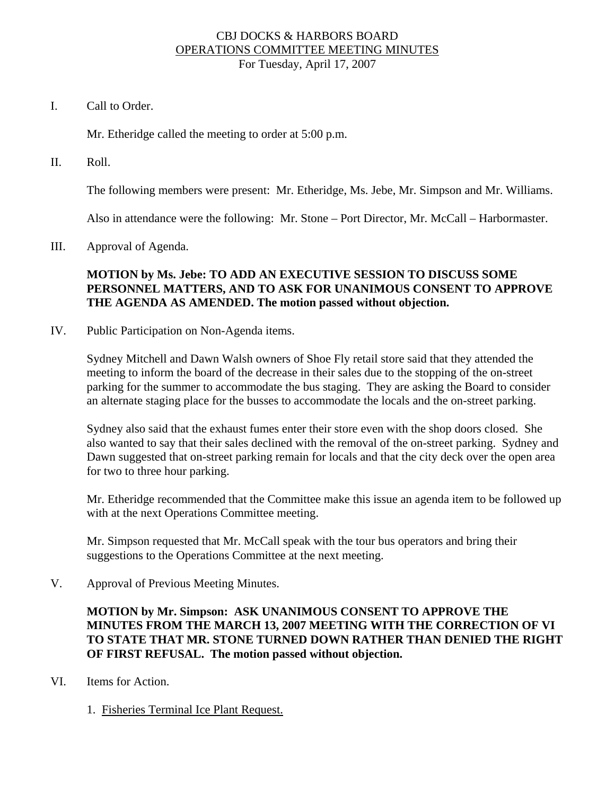### CBJ DOCKS & HARBORS BOARD OPERATIONS COMMITTEE MEETING MINUTES For Tuesday, April 17, 2007

I. Call to Order.

Mr. Etheridge called the meeting to order at 5:00 p.m.

II. Roll.

The following members were present: Mr. Etheridge, Ms. Jebe, Mr. Simpson and Mr. Williams.

Also in attendance were the following: Mr. Stone – Port Director, Mr. McCall – Harbormaster.

III. Approval of Agenda.

# **MOTION by Ms. Jebe: TO ADD AN EXECUTIVE SESSION TO DISCUSS SOME PERSONNEL MATTERS, AND TO ASK FOR UNANIMOUS CONSENT TO APPROVE THE AGENDA AS AMENDED. The motion passed without objection.**

IV. Public Participation on Non-Agenda items.

Sydney Mitchell and Dawn Walsh owners of Shoe Fly retail store said that they attended the meeting to inform the board of the decrease in their sales due to the stopping of the on-street parking for the summer to accommodate the bus staging. They are asking the Board to consider an alternate staging place for the busses to accommodate the locals and the on-street parking.

Sydney also said that the exhaust fumes enter their store even with the shop doors closed. She also wanted to say that their sales declined with the removal of the on-street parking. Sydney and Dawn suggested that on-street parking remain for locals and that the city deck over the open area for two to three hour parking.

Mr. Etheridge recommended that the Committee make this issue an agenda item to be followed up with at the next Operations Committee meeting.

Mr. Simpson requested that Mr. McCall speak with the tour bus operators and bring their suggestions to the Operations Committee at the next meeting.

V. Approval of Previous Meeting Minutes.

**MOTION by Mr. Simpson: ASK UNANIMOUS CONSENT TO APPROVE THE MINUTES FROM THE MARCH 13, 2007 MEETING WITH THE CORRECTION OF VI TO STATE THAT MR. STONE TURNED DOWN RATHER THAN DENIED THE RIGHT OF FIRST REFUSAL. The motion passed without objection.** 

- VI. Items for Action.
	- 1. Fisheries Terminal Ice Plant Request.